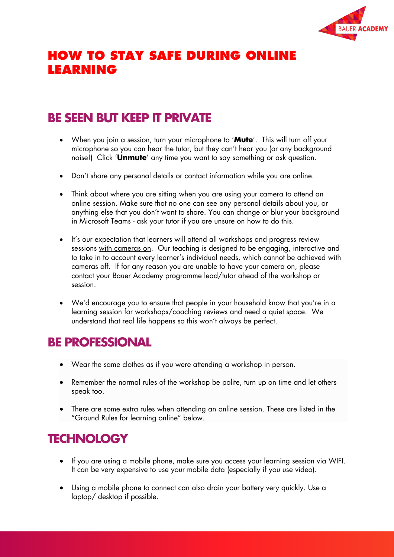

# **HOW TO STAY SAFE DURING ONLINE LEARNING**

# **BE SEEN BUT KEEP IT PRIVATE**

- When you join a session, turn your microphone to '**Mute**'. This will turn off your microphone so you can hear the tutor, but they can't hear you (or any background noise!) Click '**Unmute**' any time you want to say something or ask question.
- Don't share any personal details or contact information while you are online.
- Think about where you are sitting when you are using your camera to attend an online session. Make sure that no one can see any personal details about you, or anything else that you don't want to share. You can change or blur your background in Microsoft Teams - ask your tutor if you are unsure on how to do this.
- It's our expectation that learners will attend all workshops and progress review sessions with cameras on. Our teaching is designed to be engaging, interactive and to take in to account every learner's individual needs, which cannot be achieved with cameras off. If for any reason you are unable to have your camera on, please contact your Bauer Academy programme lead/tutor ahead of the workshop or session.
- We'd encourage you to ensure that people in your household know that you're in a learning session for workshops/coaching reviews and need a quiet space. We understand that real life happens so this won't always be perfect.

### **BE PROFESSIONAL**

- Wear the same clothes as if you were attending a workshop in person.
- Remember the normal rules of the workshop be polite, turn up on time and let others speak too.
- There are some extra rules when attending an online session. These are listed in the "Ground Rules for learning online" below.

# **TECHNOLOGY**

- If you are using a mobile phone, make sure you access your learning session via WIFI. It can be very expensive to use your mobile data (especially if you use video).
- Using a mobile phone to connect can also drain your battery very quickly. Use a laptop/ desktop if possible.